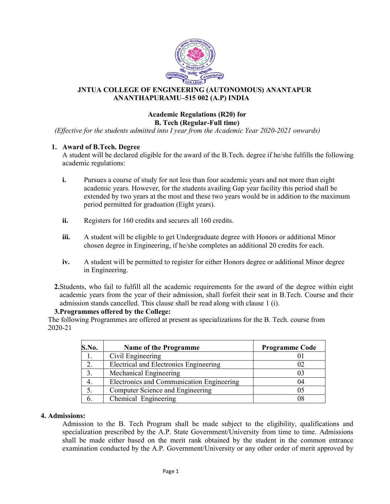

### JNTUA COLLEGE OF ENGINEERING (AUTONOMOUS) ANANTAPUR ANANTHAPURAMU APURAMU–515 002 (A.P) INDIA

#### Academic Regulations (R20) for B. Tech (Regular-Full time)

(Effective for the students admitted into I year from the Academic Year 2020-2021 onwards)

### 1. Award of B.Tech. Degree

A student will be declared eligible for the award of the B.Tech. degree if he/she fulfills the following<br>academic regulations:<br>i. Pursues a course of study for not less than four academic years and not more than eight academic regulations:

- i. Pursues a course of study for not less than four academic years and not more than eight academic years. However, for the students availing Gap year facility this period shall be i. Pursues a course of study for not less than four academic years and not more than eight<br>academic years. However, for the students availing Gap year facility this period shall be<br>extended by two years at the most and the period permitted for graduation (Eight years).
- ii. Registers for 160 credits and secures all 160 credits.
- iii. A student will be eligible to get Undergraduate degree with Honors or additional Minor chosen degree in Engineering, if he/she completes an additional 20 credits for each.
	- chosen degree in Engineering, if he/she completes an additional 20 credits for each.<br> **iv.** A student will be permitted to register for either Honors degree or additional Minor degree in Engineering.
	- 2.Students, who fail to fulfill all the academic requirements for the award of the degree within eight academic years from the year of their admission, shall forfeit their seat in B.Tech. admission stands cancelled. This clause shall be read along with clause 1 (i). who fail to fulfill all the academic requirements for the award of the degree within eight years from the year of their admission, shall forfeit their seat in B.Tech. Course and their stands cancelled. This clause shall be

### 3.Programmes offered by the College College:

The following Programmes are offered at present as specializations for the B. Tech. course from 2020-21

|       | INTUA COLLEGE OF ENGINEERING (AUTONOMOUS) ANANTAPUR<br>ANANTHAPURAMU-515 002 (A.P) INDIA                                                                                                                                                                                                                                                                                                                   |                       |  |
|-------|------------------------------------------------------------------------------------------------------------------------------------------------------------------------------------------------------------------------------------------------------------------------------------------------------------------------------------------------------------------------------------------------------------|-----------------------|--|
|       | <b>Academic Regulations (R20) for</b><br><b>B.</b> Tech (Regular-Full time)                                                                                                                                                                                                                                                                                                                                |                       |  |
|       | e for the students admitted into I year from the Academic Year 2020-2021 onwards)                                                                                                                                                                                                                                                                                                                          |                       |  |
|       | d of B.Tech. Degree<br>dent will be declared eligible for the award of the B.Tech. degree if he/she fulfills the following<br>mic regulations:                                                                                                                                                                                                                                                             |                       |  |
|       | Pursues a course of study for not less than four academic years and not more than eight<br>academic years. However, for the students availing Gap year facility this period shall be<br>extended by two years at the most and these two years would be in addition to the maximum<br>period permitted for graduation (Eight years).                                                                        |                       |  |
|       | Registers for 160 credits and secures all 160 credits.                                                                                                                                                                                                                                                                                                                                                     |                       |  |
|       | A student will be eligible to get Undergraduate degree with Honors or additional Minor<br>chosen degree in Engineering, if he/she completes an additional 20 credits for each.                                                                                                                                                                                                                             |                       |  |
|       |                                                                                                                                                                                                                                                                                                                                                                                                            |                       |  |
|       | A student will be permitted to register for either Honors degree or additional Minor degree<br>in Engineering.                                                                                                                                                                                                                                                                                             |                       |  |
|       | its, who fail to fulfill all the academic requirements for the award of the degree within eight<br>nic years from the year of their admission, shall forfeit their seat in B.Tech. Course and their<br>sion stands cancelled. This clause shall be read along with clause 1 (i).<br>ammes offered by the College:<br>ing Programmes are offered at present as specializations for the B. Tech. course from |                       |  |
|       |                                                                                                                                                                                                                                                                                                                                                                                                            |                       |  |
| S.No. | <b>Name of the Programme</b>                                                                                                                                                                                                                                                                                                                                                                               | <b>Programme Code</b> |  |
| 1.    | Civil Engineering                                                                                                                                                                                                                                                                                                                                                                                          | 01                    |  |
| 2.    | Electrical and Electronics Engineering                                                                                                                                                                                                                                                                                                                                                                     | 02                    |  |
| 3.    | Mechanical Engineering                                                                                                                                                                                                                                                                                                                                                                                     | 03                    |  |
| 4.    | Electronics and Communication Engineering                                                                                                                                                                                                                                                                                                                                                                  | 04                    |  |
| 5.    | Computer Science and Engineering                                                                                                                                                                                                                                                                                                                                                                           | 05                    |  |
| 6.    | Chemical Engineering                                                                                                                                                                                                                                                                                                                                                                                       | 08                    |  |
| IS:   | ssion to the B. Tech Program shall be made subject to the eligibility, qualifications and<br>alization prescribed by the A.P. State Government/University from time to time. Admissions<br>be made either based on the merit rank obtained by the student in the common entrance                                                                                                                           |                       |  |
|       | ination conducted by the A.P. Government/University or any other order of merit approved by                                                                                                                                                                                                                                                                                                                |                       |  |

#### 4. Admissions:

 Admission to the B. Tech Program shall be made subject to the eligibility, qualifications and specialization prescribed by the A.P. State Government/University from time to time. Admissions shall be made either based on the merit rank obtained by the student in the common entrance examination conducted by the A.P. Government/University or any other order of merit approved by Admission to the B. Tech Program shall be made subject to the eligibil<br>specialization prescribed by the A.P. State Government/University from tim<br>shall be made either based on the merit rank obtained by the student in<br>exam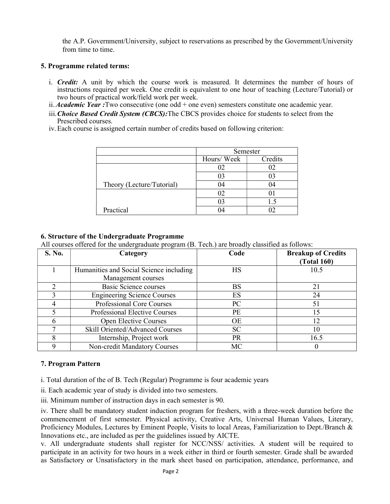the A.P. Government/University, subject to reservations as prescribed by the Government/University from time to time.

### 5. Programme related terms:

- i. Credit: A unit by which the course work is measured. It determines the number of hours of instructions required per week. One credit is equivalent to one hour of teaching (Lecture/Tutorial) or two hours of practical work/field work per week.
- ii. Academic Year : Two consecutive (one odd + one even) semesters constitute one academic year.
- iii. Choice Based Credit System (CBCS): The CBCS provides choice for students to select from the Prescribed courses.
- iv.Each course is assigned certain number of credits based on following criterion:

|                           | Semester   |         |
|---------------------------|------------|---------|
|                           | Hours/Week | Credits |
|                           |            |         |
|                           | UΞ         | U       |
| Theory (Lecture/Tutorial) | 114        | 04      |
|                           |            |         |
|                           |            |         |
| Practical                 |            |         |

### 6. Structure of the Undergraduate Programme

All courses offered for the undergraduate program (B. Tech.) are broadly classified as follows:

| S. No. | Category                                | Code      | <b>Breakup of Credits</b><br><b>(Total 160)</b> |
|--------|-----------------------------------------|-----------|-------------------------------------------------|
|        | Humanities and Social Science including | НS        | 10.5                                            |
|        | Management courses                      |           |                                                 |
|        | Basic Science courses                   | <b>BS</b> | 21                                              |
|        | <b>Engineering Science Courses</b>      | ES        | 24                                              |
|        | Professional Core Courses               | PC        | 51                                              |
|        | <b>Professional Elective Courses</b>    | <b>PE</b> | 15                                              |
|        | <b>Open Elective Courses</b>            | <b>OE</b> | 12                                              |
|        | Skill Oriented/Advanced Courses         | <b>SC</b> | 10                                              |
|        | Internship, Project work                | PR.       | 16.5                                            |
|        | Non-credit Mandatory Courses            | МC        |                                                 |

## 7. Program Pattern

i. Total duration of the of B. Tech (Regular) Programme is four academic years

ii. Each academic year of study is divided into two semesters.

iii. Minimum number of instruction days in each semester is 90.

iv. There shall be mandatory student induction program for freshers, with a three-week duration before the commencement of first semester. Physical activity, Creative Arts, Universal Human Values, Literary, Proficiency Modules, Lectures by Eminent People, Visits to local Areas, Familiarization to Dept./Branch & Innovations etc., are included as per the guidelines issued by AICTE.

v. All undergraduate students shall register for NCC/NSS/ activities. A student will be required to participate in an activity for two hours in a week either in third or fourth semester. Grade shall be awarded as Satisfactory or Unsatisfactory in the mark sheet based on participation, attendance, performance, and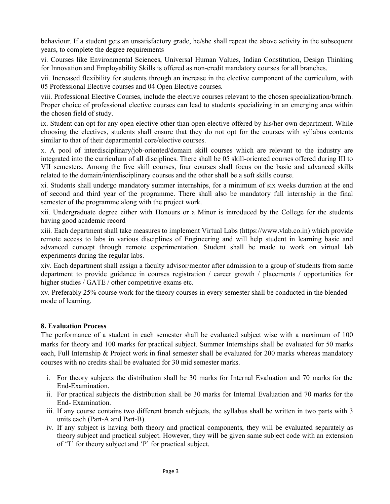behaviour. If a student gets an unsatisfactory grade, he/she shall repeat the above activity in the subsequent years, to complete the degree requirements

vi. Courses like Environmental Sciences, Universal Human Values, Indian Constitution, Design Thinking for Innovation and Employability Skills is offered as non-credit mandatory courses for all branches.

vii. Increased flexibility for students through an increase in the elective component of the curriculum, with 05 Professional Elective courses and 04 Open Elective courses.

viii. Professional Elective Courses, include the elective courses relevant to the chosen specialization/branch. Proper choice of professional elective courses can lead to students specializing in an emerging area within the chosen field of study.

ix. Student can opt for any open elective other than open elective offered by his/her own department. While choosing the electives, students shall ensure that they do not opt for the courses with syllabus contents similar to that of their departmental core/elective courses.

x. A pool of interdisciplinary/job-oriented/domain skill courses which are relevant to the industry are integrated into the curriculum of all disciplines. There shall be 05 skill-oriented courses offered during III to VII semesters. Among the five skill courses, four courses shall focus on the basic and advanced skills related to the domain/interdisciplinary courses and the other shall be a soft skills course.

xi. Students shall undergo mandatory summer internships, for a minimum of six weeks duration at the end of second and third year of the programme. There shall also be mandatory full internship in the final semester of the programme along with the project work.

xii. Undergraduate degree either with Honours or a Minor is introduced by the College for the students having good academic record

xiii. Each department shall take measures to implement Virtual Labs (https://www.vlab.co.in) which provide remote access to labs in various disciplines of Engineering and will help student in learning basic and advanced concept through remote experimentation. Student shall be made to work on virtual lab experiments during the regular labs.

xiv. Each department shall assign a faculty advisor/mentor after admission to a group of students from same department to provide guidance in courses registration / career growth / placements / opportunities for higher studies / GATE / other competitive exams etc.

xv. Preferably 25% course work for the theory courses in every semester shall be conducted in the blended mode of learning.

## 8. Evaluation Process

The performance of a student in each semester shall be evaluated subject wise with a maximum of 100 marks for theory and 100 marks for practical subject. Summer Internships shall be evaluated for 50 marks each, Full Internship & Project work in final semester shall be evaluated for 200 marks whereas mandatory courses with no credits shall be evaluated for 30 mid semester marks.

- i. For theory subjects the distribution shall be 30 marks for Internal Evaluation and 70 marks for the End-Examination.
- ii. For practical subjects the distribution shall be 30 marks for Internal Evaluation and 70 marks for the End- Examination.
- iii. If any course contains two different branch subjects, the syllabus shall be written in two parts with 3 units each (Part-A and Part-B).
- iv. If any subject is having both theory and practical components, they will be evaluated separately as theory subject and practical subject. However, they will be given same subject code with an extension of 'T' for theory subject and 'P' for practical subject.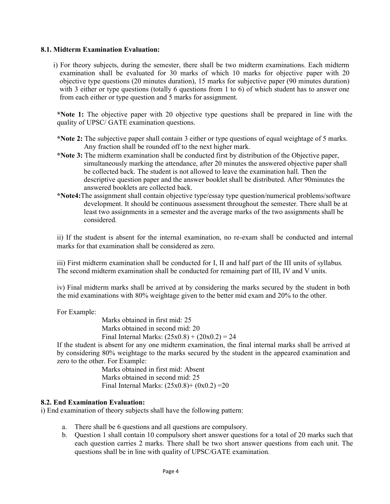#### 8.1. Midterm Examination Evaluation:

i) For theory subjects, during the semester, there shall be two midterm examinations. Each midterm examination shall be evaluated for 30 marks of which 10 marks for objective paper with 20 objective type questions (20 minutes duration), 15 marks for subjective paper (90 minutes duration) with 3 either or type questions (totally 6 questions from 1 to 6) of which student has to answer one from each either or type question and 5 marks for assignment.

\*Note 1: The objective paper with 20 objective type questions shall be prepared in line with the quality of UPSC/ GATE examination questions.

- \*Note 2: The subjective paper shall contain 3 either or type questions of equal weightage of 5 marks. Any fraction shall be rounded off to the next higher mark.
- \*Note 3: The midterm examination shall be conducted first by distribution of the Objective paper, simultaneously marking the attendance, after 20 minutes the answered objective paper shall be collected back. The student is not allowed to leave the examination hall. Then the descriptive question paper and the answer booklet shall be distributed. After 90minutes the answered booklets are collected back.
- \*Note4:The assignment shall contain objective type/essay type question/numerical problems/software development. It should be continuous assessment throughout the semester. There shall be at least two assignments in a semester and the average marks of the two assignments shall be considered.

ii) If the student is absent for the internal examination, no re-exam shall be conducted and internal marks for that examination shall be considered as zero.

iii) First midterm examination shall be conducted for I, II and half part of the III units of syllabus. The second midterm examination shall be conducted for remaining part of III, IV and V units.

iv) Final midterm marks shall be arrived at by considering the marks secured by the student in both the mid examinations with 80% weightage given to the better mid exam and 20% to the other.

For Example:

Marks obtained in first mid: 25 Marks obtained in second mid: 20 Final Internal Marks:  $(25x0.8) + (20x0.2) = 24$ 

If the student is absent for any one midterm examination, the final internal marks shall be arrived at by considering 80% weightage to the marks secured by the student in the appeared examination and zero to the other. For Example:

> Marks obtained in first mid: Absent Marks obtained in second mid: 25 Final Internal Marks:  $(25x0.8) + (0x0.2) = 20$

#### 8.2. End Examination Evaluation:

i) End examination of theory subjects shall have the following pattern:

- a. There shall be 6 questions and all questions are compulsory.
- b. Question 1 shall contain 10 compulsory short answer questions for a total of 20 marks such that each question carries 2 marks. There shall be two short answer questions from each unit. The questions shall be in line with quality of UPSC/GATE examination.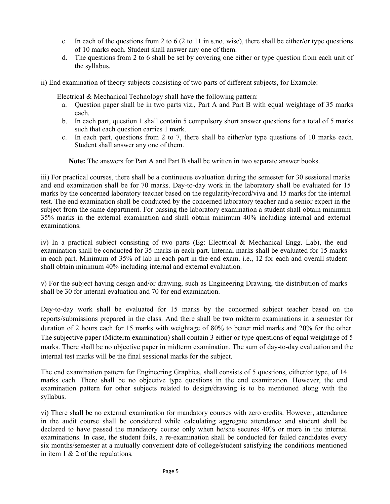- c. In each of the questions from 2 to 6 (2 to 11 in s.no. wise), there shall be either/or type questions of 10 marks each. Student shall answer any one of them.
- d. The questions from 2 to 6 shall be set by covering one either or type question from each unit of the syllabus.
- ii) End examination of theory subjects consisting of two parts of different subjects, for Example:

Electrical & Mechanical Technology shall have the following pattern:

- a. Question paper shall be in two parts viz., Part A and Part B with equal weightage of 35 marks each.
- b. In each part, question 1 shall contain 5 compulsory short answer questions for a total of 5 marks such that each question carries 1 mark.
- c. In each part, questions from 2 to 7, there shall be either/or type questions of 10 marks each. Student shall answer any one of them.

Note: The answers for Part A and Part B shall be written in two separate answer books.

iii) For practical courses, there shall be a continuous evaluation during the semester for 30 sessional marks and end examination shall be for 70 marks. Day-to-day work in the laboratory shall be evaluated for 15 marks by the concerned laboratory teacher based on the regularity/record/viva and 15 marks for the internal test. The end examination shall be conducted by the concerned laboratory teacher and a senior expert in the subject from the same department. For passing the laboratory examination a student shall obtain minimum 35% marks in the external examination and shall obtain minimum 40% including internal and external examinations.

iv) In a practical subject consisting of two parts (Eg: Electrical & Mechanical Engg. Lab), the end examination shall be conducted for 35 marks in each part. Internal marks shall be evaluated for 15 marks in each part. Minimum of 35% of lab in each part in the end exam. i.e., 12 for each and overall student shall obtain minimum 40% including internal and external evaluation.

v) For the subject having design and/or drawing, such as Engineering Drawing, the distribution of marks shall be 30 for internal evaluation and 70 for end examination.

Day-to-day work shall be evaluated for 15 marks by the concerned subject teacher based on the reports/submissions prepared in the class. And there shall be two midterm examinations in a semester for duration of 2 hours each for 15 marks with weightage of 80% to better mid marks and 20% for the other. The subjective paper (Midterm examination) shall contain 3 either or type questions of equal weightage of 5 marks. There shall be no objective paper in midterm examination. The sum of day-to-day evaluation and the internal test marks will be the final sessional marks for the subject.

The end examination pattern for Engineering Graphics, shall consists of 5 questions, either/or type, of 14 marks each. There shall be no objective type questions in the end examination. However, the end examination pattern for other subjects related to design/drawing is to be mentioned along with the syllabus.

vi) There shall be no external examination for mandatory courses with zero credits. However, attendance in the audit course shall be considered while calculating aggregate attendance and student shall be declared to have passed the mandatory course only when he/she secures 40% or more in the internal examinations. In case, the student fails, a re-examination shall be conducted for failed candidates every six months/semester at a mutually convenient date of college/student satisfying the conditions mentioned in item 1 & 2 of the regulations.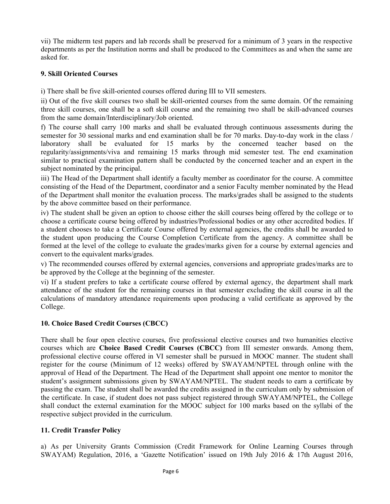vii) The midterm test papers and lab records shall be preserved for a minimum of 3 years in the respective departments as per the Institution norms and shall be produced to the Committees as and when the same are asked for.

## 9. Skill Oriented Courses

i) There shall be five skill-oriented courses offered during III to VII semesters.

ii) Out of the five skill courses two shall be skill-oriented courses from the same domain. Of the remaining three skill courses, one shall be a soft skill course and the remaining two shall be skill-advanced courses from the same domain/Interdisciplinary/Job oriented.

f) The course shall carry 100 marks and shall be evaluated through continuous assessments during the semester for 30 sessional marks and end examination shall be for 70 marks. Day-to-day work in the class / laboratory shall be evaluated for 15 marks by the concerned teacher based on the regularity/assignments/viva and remaining 15 marks through mid semester test. The end examination similar to practical examination pattern shall be conducted by the concerned teacher and an expert in the subject nominated by the principal.

iii) The Head of the Department shall identify a faculty member as coordinator for the course. A committee consisting of the Head of the Department, coordinator and a senior Faculty member nominated by the Head of the Department shall monitor the evaluation process. The marks/grades shall be assigned to the students by the above committee based on their performance.

iv) The student shall be given an option to choose either the skill courses being offered by the college or to choose a certificate course being offered by industries/Professional bodies or any other accredited bodies. If a student chooses to take a Certificate Course offered by external agencies, the credits shall be awarded to the student upon producing the Course Completion Certificate from the agency. A committee shall be formed at the level of the college to evaluate the grades/marks given for a course by external agencies and convert to the equivalent marks/grades.

v) The recommended courses offered by external agencies, conversions and appropriate grades/marks are to be approved by the College at the beginning of the semester.

vi) If a student prefers to take a certificate course offered by external agency, the department shall mark attendance of the student for the remaining courses in that semester excluding the skill course in all the calculations of mandatory attendance requirements upon producing a valid certificate as approved by the College.

## 10. Choice Based Credit Courses (CBCC)

There shall be four open elective courses, five professional elective courses and two humanities elective courses which are Choice Based Credit Courses (CBCC) from III semester onwards. Among them, professional elective course offered in VI semester shall be pursued in MOOC manner. The student shall register for the course (Minimum of 12 weeks) offered by SWAYAM/NPTEL through online with the approval of Head of the Department. The Head of the Department shall appoint one mentor to monitor the student's assignment submissions given by SWAYAM/NPTEL. The student needs to earn a certificate by passing the exam. The student shall be awarded the credits assigned in the curriculum only by submission of the certificate. In case, if student does not pass subject registered through SWAYAM/NPTEL, the College shall conduct the external examination for the MOOC subject for 100 marks based on the syllabi of the respective subject provided in the curriculum.

## 11. Credit Transfer Policy

a) As per University Grants Commission (Credit Framework for Online Learning Courses through SWAYAM) Regulation, 2016, a 'Gazette Notification' issued on 19th July 2016 & 17th August 2016,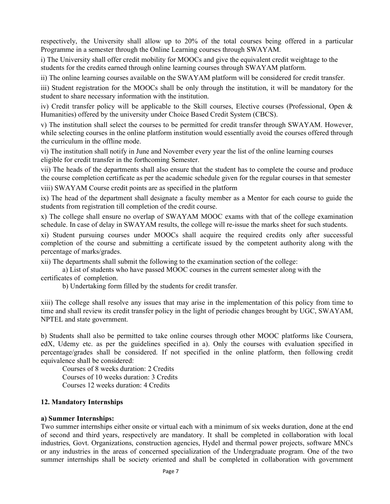respectively, the University shall allow up to 20% of the total courses being offered in a particular Programme in a semester through the Online Learning courses through SWAYAM.

i) The University shall offer credit mobility for MOOCs and give the equivalent credit weightage to the students for the credits earned through online learning courses through SWAYAM platform.

ii) The online learning courses available on the SWAYAM platform will be considered for credit transfer.

iii) Student registration for the MOOCs shall be only through the institution, it will be mandatory for the student to share necessary information with the institution.

iv) Credit transfer policy will be applicable to the Skill courses, Elective courses (Professional, Open & Humanities) offered by the university under Choice Based Credit System (CBCS).

v) The institution shall select the courses to be permitted for credit transfer through SWAYAM. However, while selecting courses in the online platform institution would essentially avoid the courses offered through the curriculum in the offline mode.

vi) The institution shall notify in June and November every year the list of the online learning courses eligible for credit transfer in the forthcoming Semester.

vii) The heads of the departments shall also ensure that the student has to complete the course and produce the course completion certificate as per the academic schedule given for the regular courses in that semester

viii) SWAYAM Course credit points are as specified in the platform

ix) The head of the department shall designate a faculty member as a Mentor for each course to guide the students from registration till completion of the credit course.

x) The college shall ensure no overlap of SWAYAM MOOC exams with that of the college examination schedule. In case of delay in SWAYAM results, the college will re-issue the marks sheet for such students.

xi) Student pursuing courses under MOOCs shall acquire the required credits only after successful completion of the course and submitting a certificate issued by the competent authority along with the percentage of marks/grades.

xii) The departments shall submit the following to the examination section of the college:

 a) List of students who have passed MOOC courses in the current semester along with the certificates of completion.

b) Undertaking form filled by the students for credit transfer.

xiii) The college shall resolve any issues that may arise in the implementation of this policy from time to time and shall review its credit transfer policy in the light of periodic changes brought by UGC, SWAYAM, NPTEL and state government.

b) Students shall also be permitted to take online courses through other MOOC platforms like Coursera, edX, Udemy etc. as per the guidelines specified in a). Only the courses with evaluation specified in percentage/grades shall be considered. If not specified in the online platform, then following credit equivalence shall be considered:

 Courses of 8 weeks duration: 2 Credits Courses of 10 weeks duration: 3 Credits Courses 12 weeks duration: 4 Credits

#### 12. Mandatory Internships

#### a) Summer Internships:

Two summer internships either onsite or virtual each with a minimum of six weeks duration, done at the end of second and third years, respectively are mandatory. It shall be completed in collaboration with local industries, Govt. Organizations, construction agencies, Hydel and thermal power projects, software MNCs or any industries in the areas of concerned specialization of the Undergraduate program. One of the two summer internships shall be society oriented and shall be completed in collaboration with government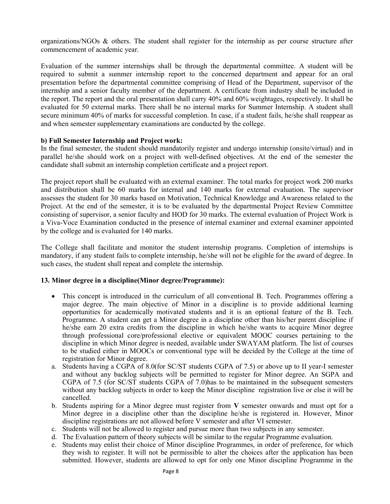organizations/NGOs & others. The student shall register for the internship as per course structure after commencement of academic year.

Evaluation of the summer internships shall be through the departmental committee. A student will be required to submit a summer internship report to the concerned department and appear for an oral presentation before the departmental committee comprising of Head of the Department, supervisor of the internship and a senior faculty member of the department. A certificate from industry shall be included in the report. The report and the oral presentation shall carry 40% and 60% weightages, respectively. It shall be evaluated for 50 external marks. There shall be no internal marks for Summer Internship. A student shall secure minimum 40% of marks for successful completion. In case, if a student fails, he/she shall reappear as and when semester supplementary examinations are conducted by the college.

### b) Full Semester Internship and Project work:

In the final semester, the student should mandatorily register and undergo internship (onsite/virtual) and in parallel he/she should work on a project with well-defined objectives. At the end of the semester the candidate shall submit an internship completion certificate and a project report.

The project report shall be evaluated with an external examiner. The total marks for project work 200 marks and distribution shall be 60 marks for internal and 140 marks for external evaluation. The supervisor assesses the student for 30 marks based on Motivation, Technical Knowledge and Awareness related to the Project. At the end of the semester, it is to be evaluated by the departmental Project Review Committee consisting of supervisor, a senior faculty and HOD for 30 marks. The external evaluation of Project Work is a Viva-Voce Examination conducted in the presence of internal examiner and external examiner appointed by the college and is evaluated for 140 marks.

The College shall facilitate and monitor the student internship programs. Completion of internships is mandatory, if any student fails to complete internship, he/she will not be eligible for the award of degree. In such cases, the student shall repeat and complete the internship.

#### 13. Minor degree in a discipline(Minor degree/Programme):

- This concept is introduced in the curriculum of all conventional B. Tech. Programmes offering a major degree. The main objective of Minor in a discipline is to provide additional learning opportunities for academically motivated students and it is an optional feature of the B. Tech. Programme. A student can get a Minor degree in a discipline other than his/her parent discipline if he/she earn 20 extra credits from the discipline in which he/she wants to acquire Minor degree through professional core/professional elective or equivalent MOOC courses pertaining to the discipline in which Minor degree is needed, available under SWAYAM platform. The list of courses to be studied either in MOOCs or conventional type will be decided by the College at the time of registration for Minor degree.
- a. Students having a CGPA of 8.0(for SC/ST students CGPA of 7.5) or above up to II year-I semester and without any backlog subjects will be permitted to register for Minor degree. An SGPA and CGPA of 7.5 (for SC/ST students CGPA of 7.0)has to be maintained in the subsequent semesters without any backlog subjects in order to keep the Minor discipline registration live or else it will be cancelled.
- b. Students aspiring for a Minor degree must register from V semester onwards and must opt for a Minor degree in a discipline other than the discipline he/she is registered in. However, Minor discipline registrations are not allowed before V semester and after VI semester.
- c. Students will not be allowed to register and pursue more than two subjects in any semester.
- d. The Evaluation pattern of theory subjects will be similar to the regular Programme evaluation.
- e. Students may enlist their choice of Minor discipline Programmes, in order of preference, for which they wish to register. It will not be permissible to alter the choices after the application has been submitted. However, students are allowed to opt for only one Minor discipline Programme in the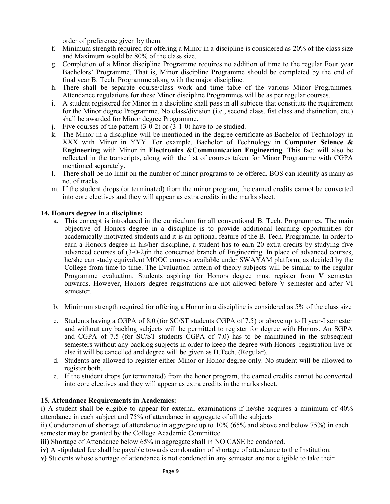order of preference given by them.

- f. Minimum strength required for offering a Minor in a discipline is considered as 20% of the class size and Maximum would be 80% of the class size.
- g. Completion of a Minor discipline Programme requires no addition of time to the regular Four year Bachelors' Programme. That is, Minor discipline Programme should be completed by the end of final year B. Tech. Programme along with the major discipline.
- h. There shall be separate course/class work and time table of the various Minor Programmes. Attendance regulations for these Minor discipline Programmes will be as per regular courses.
- i. A student registered for Minor in a discipline shall pass in all subjects that constitute the requirement for the Minor degree Programme. No class/division (i.e., second class, fist class and distinction, etc.) shall be awarded for Minor degree Programme.
- j. Five courses of the pattern  $(3-0-2)$  or  $(3-1-0)$  have to be studied.
- k. The Minor in a discipline will be mentioned in the degree certificate as Bachelor of Technology in XXX with Minor in YYY. For example, Bachelor of Technology in Computer Science  $\&$ Engineering with Minor in Electronics &Communication Engineering. This fact will also be reflected in the transcripts, along with the list of courses taken for Minor Programme with CGPA mentioned separately.
- l. There shall be no limit on the number of minor programs to be offered. BOS can identify as many as no. of tracks.
- m. If the student drops (or terminated) from the minor program, the earned credits cannot be converted into core electives and they will appear as extra credits in the marks sheet.

### 14. Honors degree in a discipline:

- a. This concept is introduced in the curriculum for all conventional B. Tech. Programmes. The main objective of Honors degree in a discipline is to provide additional learning opportunities for academically motivated students and it is an optional feature of the B. Tech. Programme. In order to earn a Honors degree in his/her discipline, a student has to earn 20 extra credits by studying five advanced courses of (3-0-2)in the concerned branch of Engineering. In place of advanced courses, he/she can study equivalent MOOC courses available under SWAYAM platform, as decided by the College from time to time. The Evaluation pattern of theory subjects will be similar to the regular Programme evaluation. Students aspiring for Honors degree must register from V semester onwards. However, Honors degree registrations are not allowed before  $\bar{V}$  semester and after VI semester.
- b. Minimum strength required for offering a Honor in a discipline is considered as 5% of the class size
- c. Students having a CGPA of 8.0 (for SC/ST students CGPA of 7.5) or above up to II year-I semester and without any backlog subjects will be permitted to register for degree with Honors. An SGPA and CGPA of 7.5 (for SC/ST students CGPA of 7.0) has to be maintained in the subsequent semesters without any backlog subjects in order to keep the degree with Honors registration live or else it will be cancelled and degree will be given as B.Tech. (Regular).
- d. Students are allowed to register either Minor or Honor degree only. No student will be allowed to register both.
- e. If the student drops (or terminated) from the honor program, the earned credits cannot be converted into core electives and they will appear as extra credits in the marks sheet.

#### 15. Attendance Requirements in Academics:

i) A student shall be eligible to appear for external examinations if he/she acquires a minimum of 40% attendance in each subject and 75% of attendance in aggregate of all the subjects

ii) Condonation of shortage of attendance in aggregate up to 10% (65% and above and below 75%) in each semester may be granted by the College Academic Committee.

iii) Shortage of Attendance below 65% in aggregate shall in NO CASE be condoned.

- iv) A stipulated fee shall be payable towards condonation of shortage of attendance to the Institution.
- v) Students whose shortage of attendance is not condoned in any semester are not eligible to take their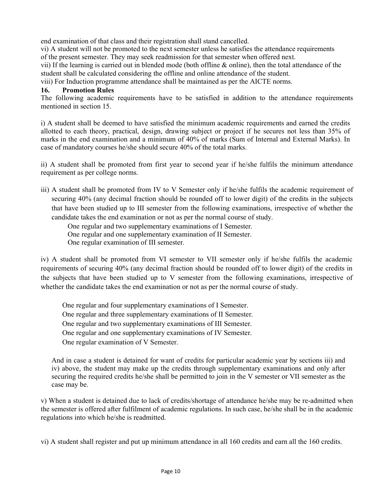end examination of that class and their registration shall stand cancelled.

vi) A student will not be promoted to the next semester unless he satisfies the attendance requirements of the present semester. They may seek readmission for that semester when offered next.

vii) If the learning is carried out in blended mode (both offline  $\&$  online), then the total attendance of the student shall be calculated considering the offline and online attendance of the student.

viii) For Induction programme attendance shall be maintained as per the AICTE norms.

## 16. Promotion Rules

The following academic requirements have to be satisfied in addition to the attendance requirements mentioned in section 15.

i) A student shall be deemed to have satisfied the minimum academic requirements and earned the credits allotted to each theory, practical, design, drawing subject or project if he secures not less than 35% of marks in the end examination and a minimum of 40% of marks (Sum of Internal and External Marks). In case of mandatory courses he/she should secure 40% of the total marks.

ii) A student shall be promoted from first year to second year if he/she fulfils the minimum attendance requirement as per college norms.

iii) A student shall be promoted from IV to V Semester only if he/she fulfils the academic requirement of securing 40% (any decimal fraction should be rounded off to lower digit) of the credits in the subjects that have been studied up to III semester from the following examinations, irrespective of whether the candidate takes the end examination or not as per the normal course of study.

One regular and two supplementary examinations of I Semester.

One regular and one supplementary examination of II Semester.

One regular examination of III semester.

iv) A student shall be promoted from VI semester to VII semester only if he/she fulfils the academic requirements of securing 40% (any decimal fraction should be rounded off to lower digit) of the credits in the subjects that have been studied up to V semester from the following examinations, irrespective of whether the candidate takes the end examination or not as per the normal course of study.

One regular and four supplementary examinations of I Semester. One regular and three supplementary examinations of II Semester. One regular and two supplementary examinations of III Semester. One regular and one supplementary examinations of IV Semester. One regular examination of V Semester.

And in case a student is detained for want of credits for particular academic year by sections iii) and iv) above, the student may make up the credits through supplementary examinations and only after securing the required credits he/she shall be permitted to join in the V semester or VII semester as the case may be.

v) When a student is detained due to lack of credits/shortage of attendance he/she may be re-admitted when the semester is offered after fulfilment of academic regulations. In such case, he/she shall be in the academic regulations into which he/she is readmitted.

vi) A student shall register and put up minimum attendance in all 160 credits and earn all the 160 credits.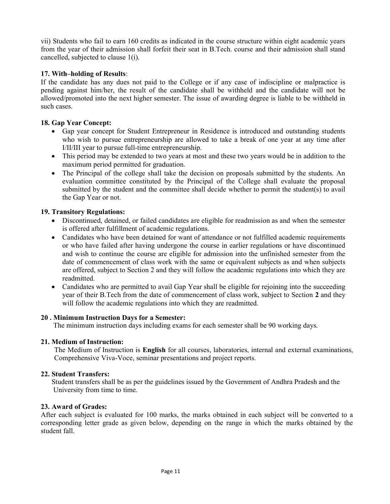vii) Students who fail to earn 160 credits as indicated in the course structure within eight academic years from the year of their admission shall forfeit their seat in B.Tech. course and their admission shall stand cancelled, subjected to clause 1(i).

## 17. With–holding of Results:

If the candidate has any dues not paid to the College or if any case of indiscipline or malpractice is pending against him/her, the result of the candidate shall be withheld and the candidate will not be allowed/promoted into the next higher semester. The issue of awarding degree is liable to be withheld in such cases.

## 18. Gap Year Concept:

- Gap year concept for Student Entrepreneur in Residence is introduced and outstanding students who wish to pursue entrepreneurship are allowed to take a break of one year at any time after I/II/III year to pursue full-time entrepreneurship.
- This period may be extended to two years at most and these two years would be in addition to the maximum period permitted for graduation.
- The Principal of the college shall take the decision on proposals submitted by the students. An evaluation committee constituted by the Principal of the College shall evaluate the proposal submitted by the student and the committee shall decide whether to permit the student(s) to avail the Gap Year or not.

## 19. Transitory Regulations:

- Discontinued, detained, or failed candidates are eligible for readmission as and when the semester is offered after fulfillment of academic regulations.
- Candidates who have been detained for want of attendance or not fulfilled academic requirements or who have failed after having undergone the course in earlier regulations or have discontinued and wish to continue the course are eligible for admission into the unfinished semester from the date of commencement of class work with the same or equivalent subjects as and when subjects are offered, subject to Section 2 and they will follow the academic regulations into which they are readmitted.
- Candidates who are permitted to avail Gap Year shall be eligible for rejoining into the succeeding year of their B.Tech from the date of commencement of class work, subject to Section 2 and they will follow the academic regulations into which they are readmitted.

## 20 . Minimum Instruction Days for a Semester:

The minimum instruction days including exams for each semester shall be 90 working days.

## 21. Medium of Instruction:

 The Medium of Instruction is English for all courses, laboratories, internal and external examinations, Comprehensive Viva-Voce, seminar presentations and project reports.

## 22. Student Transfers:

 Student transfers shall be as per the guidelines issued by the Government of Andhra Pradesh and the University from time to time.

## 23. Award of Grades:

After each subject is evaluated for 100 marks, the marks obtained in each subject will be converted to a corresponding letter grade as given below, depending on the range in which the marks obtained by the student fall.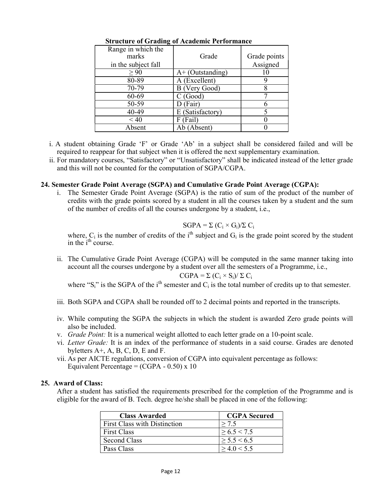| Range in which the<br>marks<br>in the subject fall | Grade              | Grade points<br>Assigned |
|----------------------------------------------------|--------------------|--------------------------|
| > 90                                               | $A+$ (Outstanding) | 10                       |
| 80-89                                              | A (Excellent)      |                          |
| 70-79                                              | B (Very Good)      |                          |
| 60-69                                              | C(Good)            |                          |
| 50-59                                              | (Fair)             |                          |
| 40-49                                              | E (Satisfactory)   |                          |
| $~<$ 40                                            | (Fail)<br>F        |                          |
| Absent                                             | Absent)<br>Ab      |                          |

### Structure of Grading of Academic Performance

- i. A student obtaining Grade 'F' or Grade 'Ab' in a subject shall be considered failed and will be required to reappear for that subject when it is offered the next supplementary examination.
- ii. For mandatory courses, "Satisfactory" or "Unsatisfactory" shall be indicated instead of the letter grade and this will not be counted for the computation of SGPA/CGPA.

#### 24. Semester Grade Point Average (SGPA) and Cumulative Grade Point Average (CGPA):

i. The Semester Grade Point Average (SGPA) is the ratio of sum of the product of the number of credits with the grade points scored by a student in all the courses taken by a student and the sum of the number of credits of all the courses undergone by a student, i.e.,

## $SGPA = \sum (C_i \times G_i)/\sum C_i$

where,  $C_i$  is the number of credits of the i<sup>th</sup> subject and  $G_i$  is the grade point scored by the student in the  $i<sup>th</sup>$  course.

ii. The Cumulative Grade Point Average (CGPA) will be computed in the same manner taking into account all the courses undergone by a student over all the semesters of a Programme, i.e.,  $CGPA = \Sigma (C_i \times S_i) / \Sigma C_i$ 

where "S<sub>i</sub>" is the SGPA of the i<sup>th</sup> semester and  $C_i$  is the total number of credits up to that semester.

- iii. Both SGPA and CGPA shall be rounded off to 2 decimal points and reported in the transcripts.
- iv. While computing the SGPA the subjects in which the student is awarded Zero grade points will also be included.
- v. Grade Point: It is a numerical weight allotted to each letter grade on a 10-point scale.
- vi. Letter Grade: It is an index of the performance of students in a said course. Grades are denoted byletters A+, A, B, C, D, E and F.
- vii. As per AICTE regulations, conversion of CGPA into equivalent percentage as follows: Equivalent Percentage =  $(CGPA - 0.50) \times 10$

## 25. Award of Class:

After a student has satisfied the requirements prescribed for the completion of the Programme and is eligible for the award of B. Tech. degree he/she shall be placed in one of the following:

| <b>Class Awarded</b>                | <b>CGPA</b> Secured |
|-------------------------------------|---------------------|
| <b>First Class with Distinction</b> | > 7.5               |
| <b>First Class</b>                  | > 6.5 < 7.5         |
| Second Class                        | $\geq 5.5 \leq 6.5$ |
| Pass Class                          | > 4.0 < 5.5         |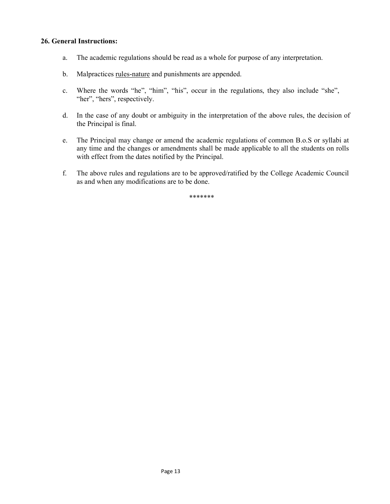### 26. General Instructions:

- a. The academic regulations should be read as a whole for purpose of any interpretation.
- b. Malpractices rules-nature and punishments are appended.
- c. Where the words "he", "him", "his", occur in the regulations, they also include "she", "her", "hers", respectively.
- d. In the case of any doubt or ambiguity in the interpretation of the above rules, the decision of the Principal is final.
- e. The Principal may change or amend the academic regulations of common B.o.S or syllabi at any time and the changes or amendments shall be made applicable to all the students on rolls with effect from the dates notified by the Principal.
- f. The above rules and regulations are to be approved/ratified by the College Academic Council as and when any modifications are to be done.

\*\*\*\*\*\*\*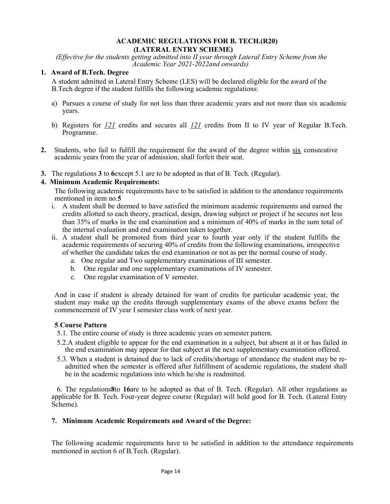#### ACADEMIC REGULATIONS FOR B. TECH.(R20) (LATERAL ENTRY SCHEME)

(Effective for the students getting admitted into II year through Lateral Entry Scheme from the Academic Year 2021-2022and onwards)

### 1. Award of B.Tech. Degree

A student admitted in Lateral Entry Scheme (LES) will be declared eligible for the award of the B.Tech degree if the student fulfills the following academic regulations:

- a) Pursues a course of study for not less than three academic years and not more than six academic years.
- b) Registers for  $121$  credits and secures all  $121$  credits from II to IV year of Regular B.Tech. Programme.
- 2. Students, who fail to fulfill the requirement for the award of the degree within six consecutive academic years from the year of admission, shall forfeit their seat.
- 3. The regulations 3 to 6except 5.1 are to be adopted as that of B. Tech. (Regular).

## 4. Minimum Academic Requirements:

The following academic requirements have to be satisfied in addition to the attendance requirements mentioned in item no.5

- i. A student shall be deemed to have satisfied the minimum academic requirements and earned the credits allotted to each theory, practical, design, drawing subject or project if he secures not less than 35% of marks in the end examination and a minimum of 40% of marks in the sum total of the internal evaluation and end examination taken together.
- ii. A student shall be promoted from third year to fourth year only if the student fulfills the academic requirements of securing 40% of credits from the following examinations, irrespective of whether the candidate takes the end examination or not as per the normal course of study.
	- a. One regular and Two supplementary examinations of III semester.
	- b. One regular and one supplementary examinations of IV semester.
	- c. One regular examination of V semester.

And in case if student is already detained for want of credits for particular academic year, the student may make up the credits through supplementary exams of the above exams before the commencement of IV year I semester class work of next year.

#### 5.Course Pattern

- 5.1. The entire course of study is three academic years on semester pattern.
- 5.2.A student eligible to appear for the end examination in a subject, but absent at it or has failed in the end examination may appear for that subject at the next supplementary examination offered.
- 5.3. When a student is detained due to lack of credits/shortage of attendance the student may be readmitted when the semester is offered after fulfillment of academic regulations, the student shall be in the academic regulations into which he/she is readmitted.

 6. The regulations8to 16are to be adopted as that of B. Tech. (Regular). All other regulations as applicable for B. Tech. Four-year degree course (Regular) will hold good for B. Tech. (Lateral Entry Scheme).

#### 7. Minimum Academic Requirements and Award of the Degree:

The following academic requirements have to be satisfied in addition to the attendance requirements mentioned in section 6 of B.Tech. (Regular).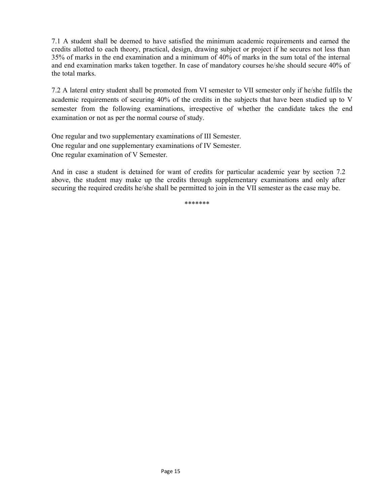7.1 A student shall be deemed to have satisfied the minimum academic requirements and earned the credits allotted to each theory, practical, design, drawing subject or project if he secures not less than 35% of marks in the end examination and a minimum of 40% of marks in the sum total of the internal and end examination marks taken together. In case of mandatory courses he/she should secure 40% of the total marks.

7.2 A lateral entry student shall be promoted from VI semester to VII semester only if he/she fulfils the academic requirements of securing 40% of the credits in the subjects that have been studied up to V semester from the following examinations, irrespective of whether the candidate takes the end examination or not as per the normal course of study.

One regular and two supplementary examinations of III Semester. One regular and one supplementary examinations of IV Semester. One regular examination of V Semester.

And in case a student is detained for want of credits for particular academic year by section 7.2 above, the student may make up the credits through supplementary examinations and only after securing the required credits he/she shall be permitted to join in the VII semester as the case may be.

\*\*\*\*\*\*\*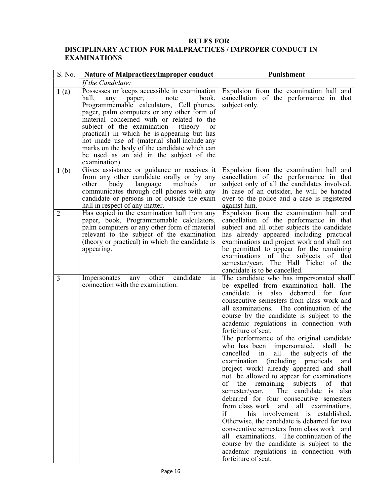## RULES FOR

## DISCIPLINARY ACTION FOR MALPRACTICES / IMPROPER CONDUCT IN EXAMINATIONS

| S. No.           | <b>Nature of Malpractices/Improper conduct</b>                                                                                                                                                                                                                                                                                                                                                                                                                                                  | Punishment                                                                                                                                                                                                                                                                                                                                                                                                                                                                                                                                                                                                                                                                                                                                                                                                                                                                                                                                                                                                                                                                                        |
|------------------|-------------------------------------------------------------------------------------------------------------------------------------------------------------------------------------------------------------------------------------------------------------------------------------------------------------------------------------------------------------------------------------------------------------------------------------------------------------------------------------------------|---------------------------------------------------------------------------------------------------------------------------------------------------------------------------------------------------------------------------------------------------------------------------------------------------------------------------------------------------------------------------------------------------------------------------------------------------------------------------------------------------------------------------------------------------------------------------------------------------------------------------------------------------------------------------------------------------------------------------------------------------------------------------------------------------------------------------------------------------------------------------------------------------------------------------------------------------------------------------------------------------------------------------------------------------------------------------------------------------|
|                  | If the Candidate:                                                                                                                                                                                                                                                                                                                                                                                                                                                                               |                                                                                                                                                                                                                                                                                                                                                                                                                                                                                                                                                                                                                                                                                                                                                                                                                                                                                                                                                                                                                                                                                                   |
| 1(a)             | Possesses or keeps accessible in examination<br>hall,<br>book,<br>any paper,<br>note<br>Programmemable calculators, Cell phones,<br>pager, palm computers or any other form of<br>material concerned with or related to the<br>subject of the examination<br>(theory)<br><sub>or</sub><br>practical) in which he is appearing but has<br>not made use of (material shall include any<br>marks on the body of the candidate which can<br>be used as an aid in the subject of the<br>examination) | Expulsion from the examination hall and<br>cancellation of the performance in that<br>subject only.                                                                                                                                                                                                                                                                                                                                                                                                                                                                                                                                                                                                                                                                                                                                                                                                                                                                                                                                                                                               |
| 1 <sub>(b)</sub> | Gives assistance or guidance or receives it<br>from any other candidate orally or by any<br>language<br>methods<br>other<br>body<br><sub>or</sub><br>communicates through cell phones with any<br>candidate or persons in or outside the exam<br>hall in respect of any matter.                                                                                                                                                                                                                 | Expulsion from the examination hall and<br>cancellation of the performance in that<br>subject only of all the candidates involved.<br>In case of an outsider, he will be handed<br>over to the police and a case is registered<br>against him.                                                                                                                                                                                                                                                                                                                                                                                                                                                                                                                                                                                                                                                                                                                                                                                                                                                    |
| $\overline{2}$   | Has copied in the examination hall from any<br>paper, book, Programmemable calculators,<br>palm computers or any other form of material<br>relevant to the subject of the examination<br>(theory or practical) in which the candidate is<br>appearing.                                                                                                                                                                                                                                          | Expulsion from the examination hall and<br>cancellation of the performance in that<br>subject and all other subjects the candidate<br>has already appeared including practical<br>examinations and project work and shall not<br>be permitted to appear for the remaining<br>examinations of the subjects of that<br>semester/year. The Hall Ticket of the<br>candidate is to be cancelled.                                                                                                                                                                                                                                                                                                                                                                                                                                                                                                                                                                                                                                                                                                       |
| 3                | candidate<br>other<br>Impersonates<br>any<br>1n<br>connection with the examination.                                                                                                                                                                                                                                                                                                                                                                                                             | The candidate who has impersonated shall<br>be expelled from examination hall. The<br>candidate is<br>also debarred<br>for<br>four<br>consecutive semesters from class work and<br>all examinations. The continuation of the<br>course by the candidate is subject to the<br>academic regulations in connection with<br>forfeiture of seat.<br>The performance of the original candidate<br>who has been impersonated,<br>shall be<br>cancelled in all the subjects of the<br>examination (including practicals<br>and<br>project work) already appeared and shall<br>not be allowed to appear for examinations<br>the remaining subjects<br>of<br>of<br>that<br>semester/year. The candidate is<br>also<br>debarred for four consecutive semesters<br>all examinations,<br>from class work and<br>if<br>his involvement is established.<br>Otherwise, the candidate is debarred for two<br>consecutive semesters from class work and<br>all examinations. The continuation of the<br>course by the candidate is subject to the<br>academic regulations in connection with<br>forfeiture of seat. |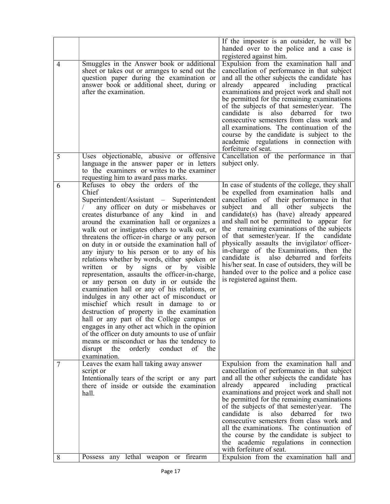|                |                                                                                                                                                                                                                                                                                                                                                                                                                                                                                                                                                                                                                                                                                                                                                                                                                                                                                                                                                                                                                                                                           | If the imposter is an outsider, he will be                                                                                                                                                                                                                                                                                                                                                                                                                                                                                                                                                                                                                    |
|----------------|---------------------------------------------------------------------------------------------------------------------------------------------------------------------------------------------------------------------------------------------------------------------------------------------------------------------------------------------------------------------------------------------------------------------------------------------------------------------------------------------------------------------------------------------------------------------------------------------------------------------------------------------------------------------------------------------------------------------------------------------------------------------------------------------------------------------------------------------------------------------------------------------------------------------------------------------------------------------------------------------------------------------------------------------------------------------------|---------------------------------------------------------------------------------------------------------------------------------------------------------------------------------------------------------------------------------------------------------------------------------------------------------------------------------------------------------------------------------------------------------------------------------------------------------------------------------------------------------------------------------------------------------------------------------------------------------------------------------------------------------------|
|                |                                                                                                                                                                                                                                                                                                                                                                                                                                                                                                                                                                                                                                                                                                                                                                                                                                                                                                                                                                                                                                                                           | handed over to the police and a case is                                                                                                                                                                                                                                                                                                                                                                                                                                                                                                                                                                                                                       |
| $\overline{4}$ | Smuggles in the Answer book or additional<br>sheet or takes out or arranges to send out the<br>question paper during the examination or<br>answer book or additional sheet, during or<br>after the examination.                                                                                                                                                                                                                                                                                                                                                                                                                                                                                                                                                                                                                                                                                                                                                                                                                                                           | registered against him.<br>Expulsion from the examination hall and<br>cancellation of performance in that subject<br>and all the other subjects the candidate has<br>appeared including<br>already<br>practical<br>examinations and project work and shall not<br>be permitted for the remaining examinations<br>of the subjects of that semester/year.<br>The<br>candidate is<br>debarred for<br>also<br>two<br>consecutive semesters from class work and<br>all examinations. The continuation of the<br>course by the candidate is subject to the                                                                                                          |
|                |                                                                                                                                                                                                                                                                                                                                                                                                                                                                                                                                                                                                                                                                                                                                                                                                                                                                                                                                                                                                                                                                           | academic regulations in connection with<br>forfeiture of seat.                                                                                                                                                                                                                                                                                                                                                                                                                                                                                                                                                                                                |
| 5              | Uses objectionable, abusive or offensive<br>language in the answer paper or in letters<br>to the examiners or writes to the examiner<br>requesting him to award pass marks.                                                                                                                                                                                                                                                                                                                                                                                                                                                                                                                                                                                                                                                                                                                                                                                                                                                                                               | Cancellation of the performance in that<br>subject only.                                                                                                                                                                                                                                                                                                                                                                                                                                                                                                                                                                                                      |
| 6              | Refuses to obey the orders of the<br>Chief<br>Superintendent/Assistant – Superintendent<br>any officer on duty or misbehaves or<br>creates disturbance of any kind in and<br>around the examination hall or organizes a<br>walk out or instigates others to walk out, or<br>threatens the officer-in charge or any person<br>on duty in or outside the examination hall of<br>any injury to his person or to any of his<br>relations whether by words, either spoken or<br>written or<br>by<br>signs<br>or by visible<br>representation, assaults the officer-in-charge,<br>or any person on duty in or outside the<br>examination hall or any of his relations, or<br>indulges in any other act of misconduct or<br>mischief which result in damage to or<br>destruction of property in the examination<br>hall or any part of the College campus or<br>engages in any other act which in the opinion<br>of the officer on duty amounts to use of unfair<br>means or misconduct or has the tendency to<br>disrupt<br>orderly conduct<br>the<br>the<br>of<br>examination. | In case of students of the college, they shall<br>be expelled from examination halls<br>and<br>cancellation of their performance in that<br>and<br>all<br>other<br>subject<br>subjects<br>the<br>candidate(s) has (have) already appeared<br>and shall not be permitted to appear for<br>the remaining examinations of the subjects<br>of that semester/year. If the<br>candidate<br>physically assaults the invigilator/ officer-<br>in-charge of the Examinations, then the<br>candidate is<br>also debarred and forfeits<br>his/her seat. In case of outsiders, they will be<br>handed over to the police and a police case<br>is registered against them. |
| 7              | Leaves the exam hall taking away answer<br>script or<br>Intentionally tears of the script or any part<br>there of inside or outside the examination<br>hall.                                                                                                                                                                                                                                                                                                                                                                                                                                                                                                                                                                                                                                                                                                                                                                                                                                                                                                              | Expulsion from the examination hall and<br>cancellation of performance in that subject<br>and all the other subjects the candidate has<br>already appeared including practical<br>examinations and project work and shall not<br>be permitted for the remaining examinations<br>of the subjects of that semester/year.<br>The<br>debarred for<br>candidate is<br>also<br>two<br>consecutive semesters from class work and<br>all the examinations. The continuation of<br>the course by the candidate is subject to<br>academic regulations in connection<br>the<br>with forfeiture of seat.                                                                  |
| 8              | Possess any lethal weapon or firearm                                                                                                                                                                                                                                                                                                                                                                                                                                                                                                                                                                                                                                                                                                                                                                                                                                                                                                                                                                                                                                      | Expulsion from the examination hall and                                                                                                                                                                                                                                                                                                                                                                                                                                                                                                                                                                                                                       |